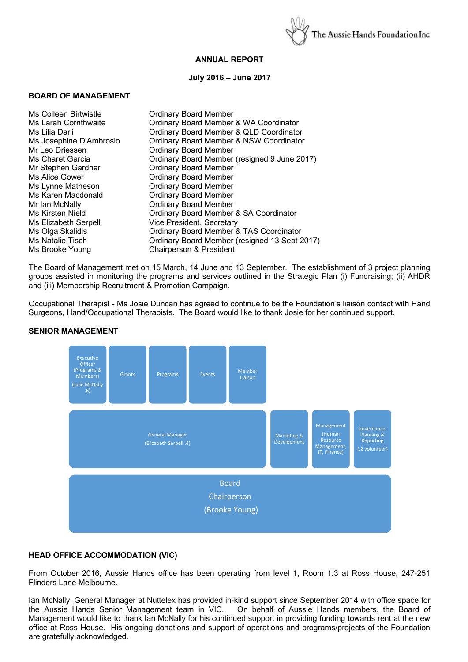

## **ANNUAL REPORT**

#### **July 2016 – June 2017**

#### **BOARD OF MANAGEMENT**

| Ms Colleen Birtwistle   | <b>Ordinary Board Member</b>                  |
|-------------------------|-----------------------------------------------|
| Ms Larah Cornthwaite    | Ordinary Board Member & WA Coordinator        |
| Ms Lilia Darii          | Ordinary Board Member & QLD Coordinator       |
| Ms Josephine D'Ambrosio | Ordinary Board Member & NSW Coordinator       |
| Mr Leo Driessen         | <b>Ordinary Board Member</b>                  |
| Ms Charet Garcia        | Ordinary Board Member (resigned 9 June 2017)  |
| Mr Stephen Gardner      | <b>Ordinary Board Member</b>                  |
| Ms Alice Gower          | <b>Ordinary Board Member</b>                  |
| Ms Lynne Matheson       | <b>Ordinary Board Member</b>                  |
| Ms Karen Macdonald      | <b>Ordinary Board Member</b>                  |
| Mr Ian McNally          | <b>Ordinary Board Member</b>                  |
| Ms Kirsten Nield        | Ordinary Board Member & SA Coordinator        |
| Ms Elizabeth Serpell    | Vice President, Secretary                     |
| Ms Olga Skalidis        | Ordinary Board Member & TAS Coordinator       |
| Ms Natalie Tisch        | Ordinary Board Member (resigned 13 Sept 2017) |
| Ms Brooke Young         | Chairperson & President                       |

The Board of Management met on 15 March, 14 June and 13 September. The establishment of 3 project planning groups assisted in monitoring the programs and services outlined in the Strategic Plan (i) Fundraising; (ii) AHDR and (iii) Membership Recruitment & Promotion Campaign.

Occupational Therapist - Ms Josie Duncan has agreed to continue to be the Foundation's liaison contact with Hand Surgeons, Hand/Occupational Therapists. The Board would like to thank Josie for her continued support.



#### **SENIOR MANAGEMENT**

## **HEAD OFFICE ACCOMMODATION (VIC)**

From October 2016, Aussie Hands office has been operating from level 1, Room 1.3 at Ross House, 247-251 Flinders Lane Melbourne.

Ian McNally, General Manager at Nuttelex has provided in-kind support since September 2014 with office space for the Aussie Hands Senior Management team in VIC. On behalf of Aussie Hands members, the Board of Management would like to thank Ian McNally for his continued support in providing funding towards rent at the new office at Ross House. His ongoing donations and support of operations and programs/projects of the Foundation are gratefully acknowledged.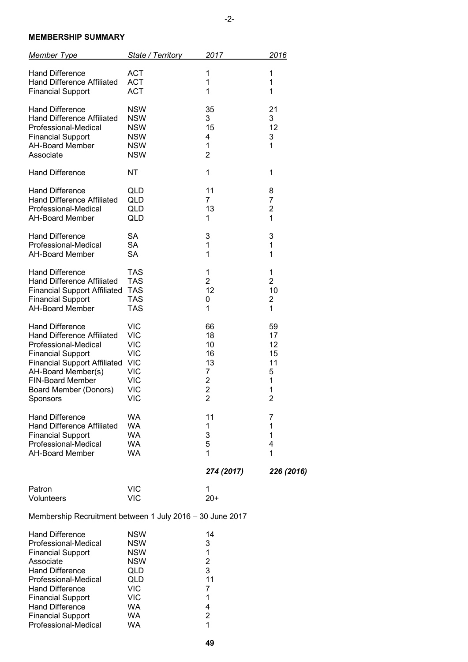## **MEMBERSHIP SUMMARY**

| <b>Member Type</b>                                                                                                                                     | State / Territory                                                                | 2017                                                | 2016                               |
|--------------------------------------------------------------------------------------------------------------------------------------------------------|----------------------------------------------------------------------------------|-----------------------------------------------------|------------------------------------|
| <b>Hand Difference</b>                                                                                                                                 | <b>ACT</b>                                                                       | 1                                                   | 1                                  |
| <b>Hand Difference Affiliated</b>                                                                                                                      | <b>ACT</b>                                                                       | 1                                                   | 1                                  |
| <b>Financial Support</b>                                                                                                                               | <b>ACT</b>                                                                       | 1                                                   | 1                                  |
| <b>Hand Difference</b><br><b>Hand Difference Affiliated</b><br>Professional-Medical<br><b>Financial Support</b><br><b>AH-Board Member</b><br>Associate | <b>NSW</b><br><b>NSW</b><br><b>NSW</b><br><b>NSW</b><br><b>NSW</b><br><b>NSW</b> | 35<br>3<br>15<br>4<br>$\mathbf 1$<br>$\overline{2}$ | 21<br>3<br>12<br>3<br>$\mathbf{1}$ |
| <b>Hand Difference</b>                                                                                                                                 | ΝT                                                                               | 1                                                   | 1                                  |
| <b>Hand Difference</b>                                                                                                                                 | QLD                                                                              | 11                                                  | 8                                  |
| <b>Hand Difference Affiliated</b>                                                                                                                      | QLD                                                                              | $\overline{7}$                                      | 7                                  |
| Professional-Medical                                                                                                                                   | QLD                                                                              | 13                                                  | $\overline{2}$                     |
| <b>AH-Board Member</b>                                                                                                                                 | QLD                                                                              | 1                                                   | 1                                  |
| <b>Hand Difference</b>                                                                                                                                 | SA                                                                               | 3                                                   | 3                                  |
| Professional-Medical                                                                                                                                   | <b>SA</b>                                                                        | 1                                                   | 1                                  |
| <b>AH-Board Member</b>                                                                                                                                 | <b>SA</b>                                                                        | $\mathbf{1}$                                        | $\mathbf{1}$                       |
| <b>Hand Difference</b>                                                                                                                                 | <b>TAS</b>                                                                       | 1                                                   | 1                                  |
| <b>Hand Difference Affiliated</b>                                                                                                                      | <b>TAS</b>                                                                       | $\overline{2}$                                      | $\overline{2}$                     |
| <b>Financial Support Affiliated</b>                                                                                                                    | <b>TAS</b>                                                                       | 12                                                  | 10                                 |
| <b>Financial Support</b>                                                                                                                               | <b>TAS</b>                                                                       | 0                                                   | $\overline{\mathbf{c}}$            |
| <b>AH-Board Member</b>                                                                                                                                 | <b>TAS</b>                                                                       | 1                                                   | 1                                  |
| <b>Hand Difference</b>                                                                                                                                 | <b>VIC</b>                                                                       | 66                                                  | 59                                 |
| <b>Hand Difference Affiliated</b>                                                                                                                      | <b>VIC</b>                                                                       | 18                                                  | 17                                 |
| Professional-Medical                                                                                                                                   | <b>VIC</b>                                                                       | 10                                                  | 12                                 |
| <b>Financial Support</b>                                                                                                                               | <b>VIC</b>                                                                       | 16                                                  | 15                                 |
| <b>Financial Support Affiliated</b>                                                                                                                    | <b>VIC</b>                                                                       | 13                                                  | 11                                 |
| AH-Board Member(s)                                                                                                                                     | <b>VIC</b>                                                                       | 7                                                   | 5                                  |
| <b>FIN-Board Member</b>                                                                                                                                | <b>VIC</b>                                                                       | $\overline{\mathbf{c}}$                             | 1                                  |
| Board Member (Donors)                                                                                                                                  | <b>VIC</b>                                                                       | $\overline{c}$                                      | 1                                  |
| Sponsors                                                                                                                                               | <b>VIC</b>                                                                       | $\overline{2}$                                      | $\overline{2}$                     |
| <b>Hand Difference</b>                                                                                                                                 | <b>WA</b>                                                                        | 11                                                  | 7                                  |
| Hand Difference Affiliated                                                                                                                             | <b>WA</b>                                                                        | 1                                                   | 1                                  |
| <b>Financial Support</b>                                                                                                                               | <b>WA</b>                                                                        | 3                                                   | 1                                  |
| Professional-Medical                                                                                                                                   | <b>WA</b>                                                                        | 5                                                   | 4                                  |
| <b>AH-Board Member</b>                                                                                                                                 | <b>WA</b>                                                                        | 1                                                   | 1                                  |
|                                                                                                                                                        |                                                                                  | 274 (2017)                                          | 226 (2016)                         |
| Patron                                                                                                                                                 | <b>VIC</b>                                                                       | 1                                                   |                                    |
| Volunteers                                                                                                                                             | <b>VIC</b>                                                                       | $20+$                                               |                                    |

Membership Recruitment between 1 July 2016 – 30 June 2017

| <b>Hand Difference</b>   | <b>NSW</b> | 14 |
|--------------------------|------------|----|
| Professional-Medical     | <b>NSW</b> | 3  |
| <b>Financial Support</b> | <b>NSW</b> | 1  |
| Associate                | <b>NSW</b> | 2  |
| <b>Hand Difference</b>   | QLD        | 3  |
| Professional-Medical     | QLD        | 11 |
| <b>Hand Difference</b>   | VIC        | 7  |
| <b>Financial Support</b> | VIC        | 1  |
| <b>Hand Difference</b>   | WA         | 4  |
| <b>Financial Support</b> | WA         | 2  |
| Professional-Medical     | WA         |    |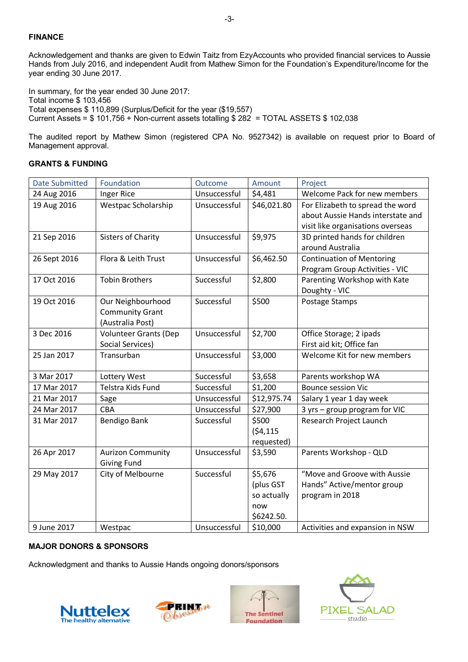# **FINANCE**

Acknowledgement and thanks are given to Edwin Taitz from EzyAccounts who provided financial services to Aussie Hands from July 2016, and independent Audit from Mathew Simon for the Foundation's Expenditure/Income for the year ending 30 June 2017.

In summary, for the year ended 30 June 2017: Total income \$ 103,456 Total expenses \$ 110,899 (Surplus/Deficit for the year (\$19,557) Current Assets = \$ 101,756 + Non-current assets totalling \$ 282 = TOTAL ASSETS \$ 102,038

The audited report by Mathew Simon (registered CPA No. 9527342) is available on request prior to Board of Management approval.

|  | <b>GRANTS &amp; FUNDING</b> |
|--|-----------------------------|
|--|-----------------------------|

| <b>Date Submitted</b> | Foundation                                                      | Outcome      | Amount                                                   | Project                                                                                                    |
|-----------------------|-----------------------------------------------------------------|--------------|----------------------------------------------------------|------------------------------------------------------------------------------------------------------------|
| 24 Aug 2016           | Inger Rice                                                      | Unsuccessful | \$4,481                                                  | Welcome Pack for new members                                                                               |
| 19 Aug 2016           | Westpac Scholarship                                             | Unsuccessful | \$46,021.80                                              | For Elizabeth to spread the word<br>about Aussie Hands interstate and<br>visit like organisations overseas |
| 21 Sep 2016           | <b>Sisters of Charity</b>                                       | Unsuccessful | \$9,975                                                  | 3D printed hands for children<br>around Australia                                                          |
| 26 Sept 2016          | Flora & Leith Trust                                             | Unsuccessful | \$6,462.50                                               | <b>Continuation of Mentoring</b><br>Program Group Activities - VIC                                         |
| 17 Oct 2016           | <b>Tobin Brothers</b>                                           | Successful   | \$2,800                                                  | Parenting Workshop with Kate<br>Doughty - VIC                                                              |
| 19 Oct 2016           | Our Neighbourhood<br><b>Community Grant</b><br>(Australia Post) | Successful   | \$500                                                    | Postage Stamps                                                                                             |
| 3 Dec 2016            | <b>Volunteer Grants (Dep</b><br>Social Services)                | Unsuccessful | \$2,700                                                  | Office Storage; 2 ipads<br>First aid kit; Office fan                                                       |
| 25 Jan 2017           | Transurban                                                      | Unsuccessful | \$3,000                                                  | Welcome Kit for new members                                                                                |
| 3 Mar 2017            | Lottery West                                                    | Successful   | \$3,658                                                  | Parents workshop WA                                                                                        |
| 17 Mar 2017           | Telstra Kids Fund                                               | Successful   | \$1,200                                                  | <b>Bounce session Vic</b>                                                                                  |
| 21 Mar 2017           | Sage                                                            | Unsuccessful | \$12,975.74                                              | Salary 1 year 1 day week                                                                                   |
| 24 Mar 2017           | CBA                                                             | Unsuccessful | \$27,900                                                 | 3 yrs - group program for VIC                                                                              |
| 31 Mar 2017           | Bendigo Bank                                                    | Successful   | \$500<br>(54, 115)<br>requested)                         | Research Project Launch                                                                                    |
| 26 Apr 2017           | <b>Aurizon Community</b><br><b>Giving Fund</b>                  | Unsuccessful | \$3,590                                                  | Parents Workshop - QLD                                                                                     |
| 29 May 2017           | City of Melbourne                                               | Successful   | \$5,676<br>(plus GST<br>so actually<br>now<br>\$6242.50. | "Move and Groove with Aussie<br>Hands" Active/mentor group<br>program in 2018                              |
| 9 June 2017           | Westpac                                                         | Unsuccessful | \$10,000                                                 | Activities and expansion in NSW                                                                            |

# **MAJOR DONORS & SPONSORS**

Acknowledgment and thanks to Aussie Hands ongoing donors/sponsors







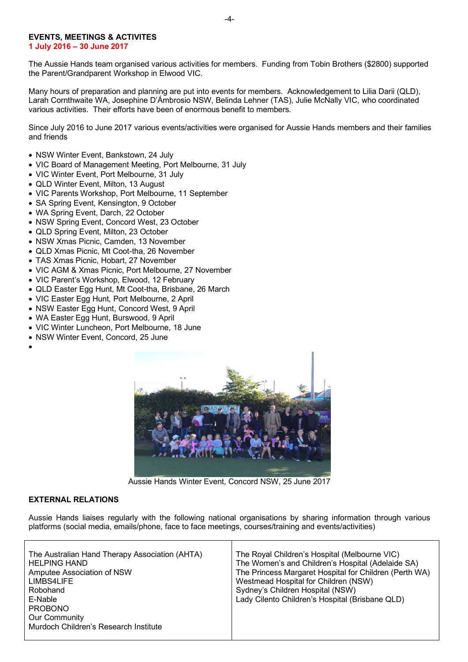# **EVENTS, MEETINGS & ACTIVITES**

**1 July 2016 – 30 June 2017**

The Aussie Hands team organised various activities for members. Funding from Tobin Brothers (\$2800) supported the Parent/Grandparent Workshop in Elwood VIC.

Many hours of preparation and planning are put into events for members. Acknowledgement to Lilia Darii (QLD), Larah Cornthwaite WA, Josephine D'Ámbrosio NSW, Belinda Lehner (TAS), Julie McNally VIC, who coordinated various activities. Their efforts have been of enormous benefit to members.

Since July 2016 to June 2017 various events/activities were organised for Aussie Hands members and their families and friends

- NSW Winter Event, Bankstown, 24 July
- VIC Board of Management Meeting, Port Melbourne, 31 July
- VIC Winter Event, Port Melbourne, 31 July
- QLD Winter Event, Milton, 13 August
- VIC Parents Workshop, Port Melbourne, 11 September
- SA Spring Event, Kensington, 9 October
- WA Spring Event, Darch, 22 October
- NSW Spring Event, Concord West, 23 October
- QLD Spring Event, Milton, 23 October
- NSW Xmas Picnic, Camden, 13 November
- QLD Xmas Picnic, Mt Coot-tha, 26 November
- TAS Xmas Picnic, Hobart, 27 November
- VIC AGM & Xmas Picnic, Port Melbourne, 27 November
- VIC Parent's Workshop, Elwood, 12 February
- QLD Easter Egg Hunt, Mt Coot-tha, Brisbane, 26 March
- VIC Easter Egg Hunt, Port Melbourne, 2 April
- NSW Easter Egg Hunt, Concord West, 9 April
- WA Easter Egg Hunt, Burswood, 9 April
- VIC Winter Luncheon, Port Melbourne, 18 June
- NSW Winter Event, Concord, 25 June





Aussie Hands Winter Event, Concord NSW, 25 June 2017

#### **EXTERNAL RELATIONS**

Aussie Hands liaises regularly with the following national organisations by sharing information through various platforms (social media, emails/phone, face to face meetings, courses/training and events/activities)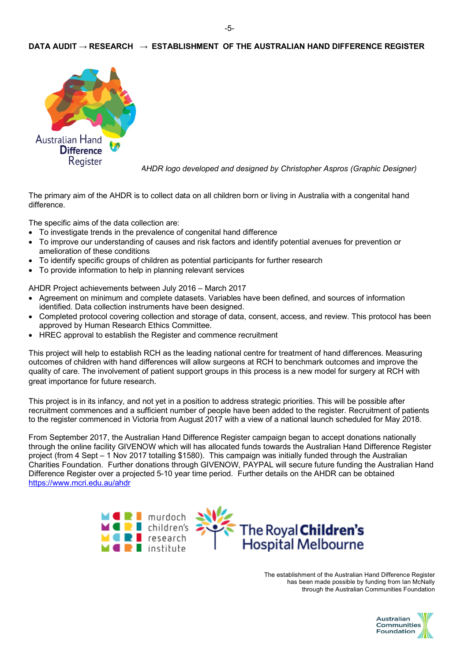# **DATA AUDIT → RESEARCH → ESTABLISHMENT OF THE AUSTRALIAN HAND DIFFERENCE REGISTER**



*AHDR logo developed and designed by Christopher Aspros (Graphic Designer)*

The primary aim of the AHDR is to collect data on all children born or living in Australia with a congenital hand difference.

The specific aims of the data collection are:

- To investigate trends in the prevalence of congenital hand difference
- To improve our understanding of causes and risk factors and identify potential avenues for prevention or amelioration of these conditions
- To identify specific groups of children as potential participants for further research
- To provide information to help in planning relevant services

AHDR Project achievements between July 2016 – March 2017

- Agreement on minimum and complete datasets. Variables have been defined, and sources of information identified. Data collection instruments have been designed.
- Completed protocol covering collection and storage of data, consent, access, and review. This protocol has been approved by Human Research Ethics Committee.
- HREC approval to establish the Register and commence recruitment

This project will help to establish RCH as the leading national centre for treatment of hand differences. Measuring outcomes of children with hand differences will allow surgeons at RCH to benchmark outcomes and improve the quality of care. The involvement of patient support groups in this process is a new model for surgery at RCH with great importance for future research.

This project is in its infancy, and not yet in a position to address strategic priorities. This will be possible after recruitment commences and a sufficient number of people have been added to the register. Recruitment of patients to the register commenced in Victoria from August 2017 with a view of a national launch scheduled for May 2018.

From September 2017, the Australian Hand Difference Register campaign began to accept donations nationally through the online facility GIVENOW which will has allocated funds towards the Australian Hand Difference Register project (from 4 Sept – 1 Nov 2017 totalling \$1580). This campaign was initially funded through the Australian Charities Foundation. Further donations through GIVENOW, PAYPAL will secure future funding the Australian Hand Difference Register over a projected 5-10 year time period. Further details on the AHDR can be obtained https://www.mcri.edu.au/ahdr



The establishment of the Australian Hand Difference Register has been made possible by funding from Ian McNally through the Australian Communities Foundation

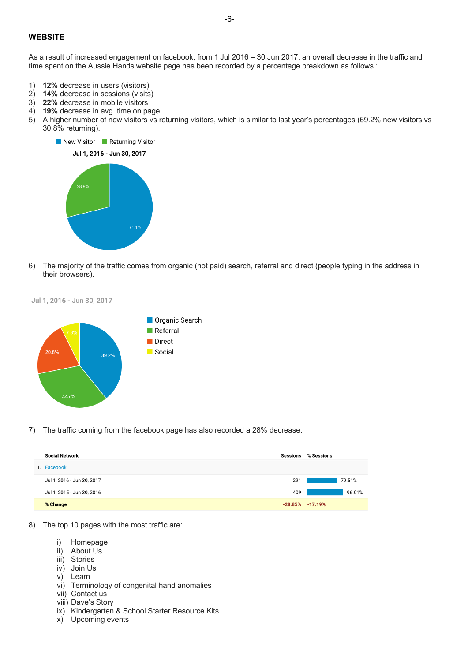## **WEBSITE**

As a result of increased engagement on facebook, from 1 Jul 2016 – 30 Jun 2017, an overall decrease in the traffic and time spent on the Aussie Hands website page has been recorded by a percentage breakdown as follows :

- 1) **12%** decrease in users (visitors)
- 2) **14%** decrease in sessions (visits)
- 3) **22%** decrease in mobile visitors
- 4) **19%** decrease in avg. time on page
- 5) A higher number of new visitors vs returning visitors, which is similar to last year's percentages (69.2% new visitors vs 30.8% returning).



6) The majority of the traffic comes from organic (not paid) search, referral and direct (people typing in the address in their browsers).





7) The traffic coming from the facebook page has also recorded a 28% decrease.

| <b>Social Network</b>      | <b>Sessions</b> | % Sessions          |
|----------------------------|-----------------|---------------------|
| 1. Facebook                |                 |                     |
| Jul 1, 2016 - Jun 30, 2017 | 291             | 79.51%              |
| Jul 1, 2015 - Jun 30, 2016 | 409             | 96.01%              |
| % Change                   |                 | $-28.85\% -17.19\%$ |

- 8) The top 10 pages with the most traffic are:
	- i) Homepage
	- ii) About Us
	- iii) Stories
	- iv) Join Us
	- v) Learn
	- vi) Terminology of congenital hand anomalies
	- vii) Contact us
	- viii) Dave's Story
	- ix) Kindergarten & School Starter Resource Kits
	- x) Upcoming events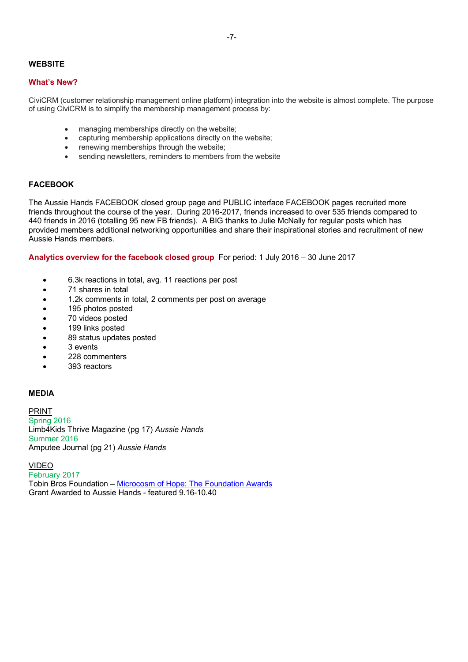## **WEBSITE**

#### **What's New?**

CiviCRM (customer relationship management online platform) integration into the website is almost complete. The purpose of using CiviCRM is to simplify the membership management process by:

- managing memberships directly on the website;
- capturing membership applications directly on the website;
- renewing memberships through the website;
- sending newsletters, reminders to members from the website

## **FACEBOOK**

The Aussie Hands FACEBOOK closed group page and PUBLIC interface FACEBOOK pages recruited more friends throughout the course of the year. During 2016-2017, friends increased to over 535 friends compared to 440 friends in 2016 (totalling 95 new FB friends). A BIG thanks to Julie McNally for regular posts which has provided members additional networking opportunities and share their inspirational stories and recruitment of new Aussie Hands members.

**Analytics overview for the facebook closed group** For period: 1 July 2016 – 30 June 2017

- 6.3k reactions in total, avg. 11 reactions per post
- 71 shares in total
- 1.2k comments in total, 2 comments per post on average
- 195 photos posted
- 70 videos posted
- 199 links posted
- 89 status updates posted
- 3 events
- 228 commenters
- 393 reactors

## **MEDIA**

PRINT Spring 2016 Limb4Kids Thrive Magazine (pg 17) *Aussie Hands* Summer 2016 Amputee Journal (pg 21) *Aussie Hands*

#### VIDEO

February 2017 Tobin Bros Foundation – Microcosm of Hope: The Foundation Awards Grant Awarded to Aussie Hands - featured 9.16-10.40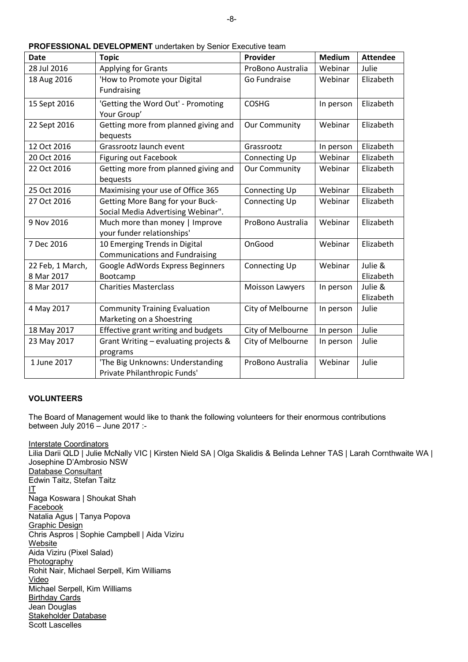| <b>Date</b>      | <b>Topic</b>                                                 | Provider             | <b>Medium</b> | <b>Attendee</b> |
|------------------|--------------------------------------------------------------|----------------------|---------------|-----------------|
| 28 Jul 2016      | <b>Applying for Grants</b>                                   | ProBono Australia    | Webinar       | Julie           |
| 18 Aug 2016      | 'How to Promote your Digital                                 | Go Fundraise         | Webinar       | Elizabeth       |
|                  | Fundraising                                                  |                      |               |                 |
| 15 Sept 2016     | 'Getting the Word Out' - Promoting                           | <b>COSHG</b>         | In person     | Elizabeth       |
|                  | Your Group'                                                  |                      |               |                 |
| 22 Sept 2016     | Getting more from planned giving and<br>bequests             | <b>Our Community</b> | Webinar       | Elizabeth       |
| 12 Oct 2016      | Grassrootz launch event                                      | Grassrootz           | In person     | Elizabeth       |
| 20 Oct 2016      | <b>Figuring out Facebook</b>                                 | Connecting Up        | Webinar       | Elizabeth       |
| 22 Oct 2016      | Getting more from planned giving and                         | <b>Our Community</b> | Webinar       | Elizabeth       |
|                  | bequests                                                     |                      |               |                 |
| 25 Oct 2016      | Maximising your use of Office 365                            | <b>Connecting Up</b> | Webinar       | Elizabeth       |
| 27 Oct 2016      | <b>Getting More Bang for your Buck-</b>                      | <b>Connecting Up</b> | Webinar       | Elizabeth       |
|                  | Social Media Advertising Webinar".                           |                      |               |                 |
| 9 Nov 2016       | Much more than money   Improve<br>your funder relationships' | ProBono Australia    | Webinar       | Elizabeth       |
| 7 Dec 2016       | 10 Emerging Trends in Digital                                | OnGood               | Webinar       | Elizabeth       |
|                  | <b>Communications and Fundraising</b>                        |                      |               |                 |
| 22 Feb, 1 March, | Google AdWords Express Beginners                             | <b>Connecting Up</b> | Webinar       | Julie &         |
| 8 Mar 2017       | Bootcamp                                                     |                      |               | Elizabeth       |
| 8 Mar 2017       | <b>Charities Masterclass</b>                                 | Moisson Lawyers      | In person     | Julie &         |
|                  |                                                              |                      |               | Elizabeth       |
| 4 May 2017       | <b>Community Training Evaluation</b>                         | City of Melbourne    | In person     | Julie           |
|                  | Marketing on a Shoestring                                    |                      |               |                 |
| 18 May 2017      | Effective grant writing and budgets                          | City of Melbourne    | In person     | Julie           |
| 23 May 2017      | Grant Writing - evaluating projects &                        | City of Melbourne    | In person     | Julie           |
|                  | programs                                                     |                      |               |                 |
| 1 June 2017      | 'The Big Unknowns: Understanding                             | ProBono Australia    | Webinar       | Julie           |
|                  | Private Philanthropic Funds'                                 |                      |               |                 |

| PROFESSIONAL DEVELOPMENT undertaken by Senior Executive team |  |  |  |  |
|--------------------------------------------------------------|--|--|--|--|
|                                                              |  |  |  |  |

#### **VOLUNTEERS**

The Board of Management would like to thank the following volunteers for their enormous contributions between July 2016 – June 2017 :-

Interstate Coordinators Lilia Darii QLD | Julie McNally VIC | Kirsten Nield SA | Olga Skalidis & Belinda Lehner TAS | Larah Cornthwaite WA | Josephine D'Ambrosio NSW Database Consultant Edwin Taitz, Stefan Taitz IT Naga Koswara | Shoukat Shah Facebook Natalia Agus | Tanya Popova Graphic Design Chris Aspros | Sophie Campbell | Aida Viziru **Website** Aida Viziru (Pixel Salad) **Photography** Rohit Nair, Michael Serpell, Kim Williams Video Michael Serpell, Kim Williams Birthday Cards Jean Douglas Stakeholder Database Scott Lascelles